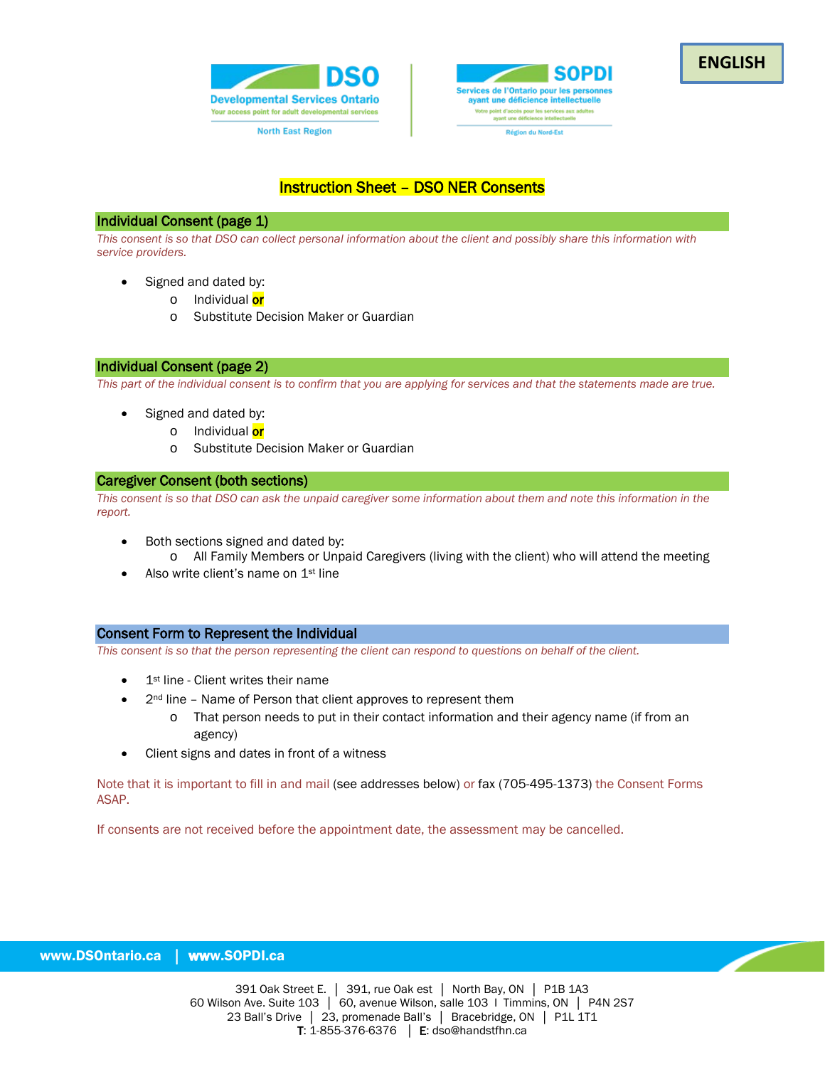



# Instruction Sheet – DSO NER Consents

### Individual Consent (page 1)

*This consent is so that DSO can collect personal information about the client and possibly share this information with service providers.*

- Signed and dated by:
	- o Individual or
	- o Substitute Decision Maker or Guardian

## Individual Consent (page 2)

*This part of the individual consent is to confirm that you are applying for services and that the statements made are true.*

- Signed and dated by:
	- o Individual or
	- o Substitute Decision Maker or Guardian

## Caregiver Consent (both sections)

*This consent is so that DSO can ask the unpaid caregiver some information about them and note this information in the report.*

- Both sections signed and dated by: o All Family Members or Unpaid Caregivers (living with the client) who will attend the meeting
- Also write client's name on 1<sup>st</sup> line

# Consent Form to Represent the Individual

*This consent is so that the person representing the client can respond to questions on behalf of the client.*

- 1<sup>st</sup> line Client writes their name
- 2<sup>nd</sup> line Name of Person that client approves to represent them
	- o That person needs to put in their contact information and their agency name (if from an agency)
- Client signs and dates in front of a witness

Note that it is important to fill in and mail (see addresses below) or fax (705-495-1373) the Consent Forms ASAP.

If consents are not received before the appointment date, the assessment may be cancelled.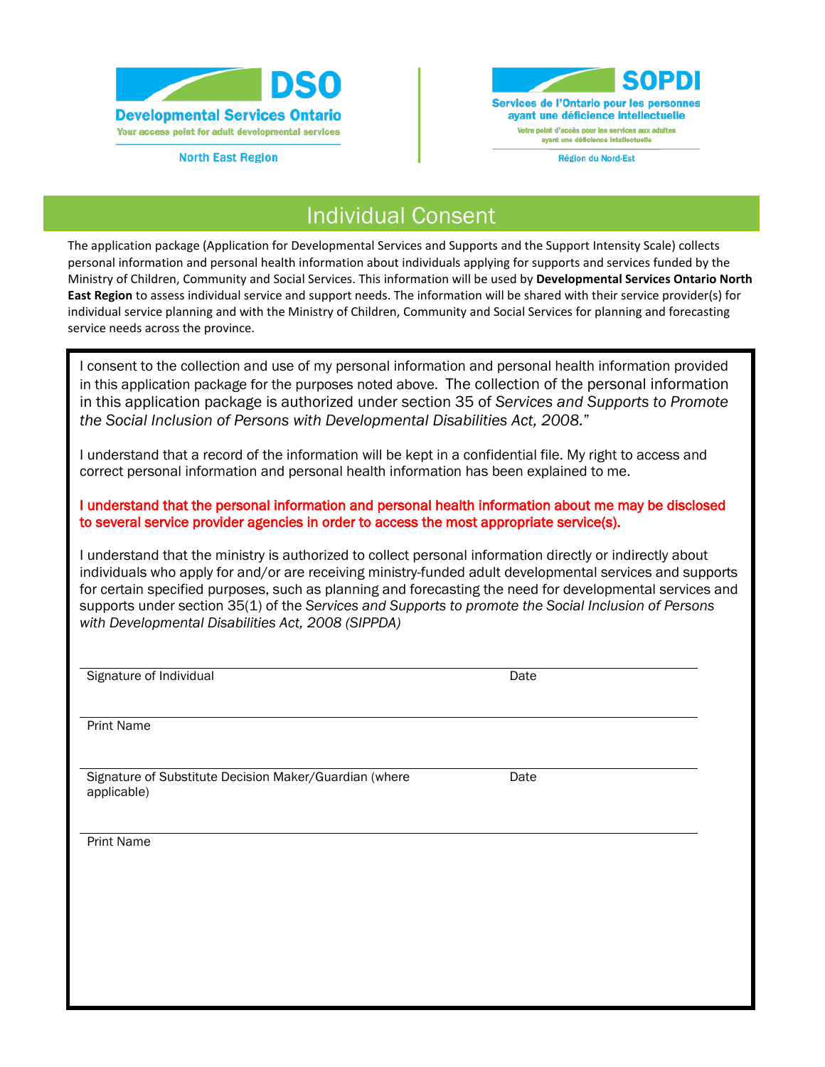

**North East Region** 



Individual Consent

The application package (Application for Developmental Services and Supports and the Support Intensity Scale) collects personal information and personal health information about individuals applying for supports and services funded by the Ministry of Children, Community and Social Services. This information will be used by **Developmental Services Ontario North East Region** to assess individual service and support needs. The information will be shared with their service provider(s) for individual service planning and with the Ministry of Children, Community and Social Services for planning and forecasting service needs across the province.

I consent to the collection and use of my personal information and personal health information provided in this application package for the purposes noted above. The collection of the personal information in this application package is authorized under section 35 of *Services and Supports to Promote the Social Inclusion of Persons with Developmental Disabilities Act, 2008.*"

I understand that a record of the information will be kept in a confidential file. My right to access and correct personal information and personal health information has been explained to me.

I understand that the personal information and personal health information about me may be disclosed to several service provider agencies in order to access the most appropriate service(s).

I understand that the ministry is authorized to collect personal information directly or indirectly about individuals who apply for and/or are receiving ministry-funded adult developmental services and supports for certain specified purposes, such as planning and forecasting the need for developmental services and supports under section 35(1) of the *Services and Supports to promote the Social Inclusion of Persons with Developmental Disabilities Act, 2008 (SIPPDA)*

Signature of Individual Date Controller and Date Date Date

Print Name

l,

Signature of Substitute Decision Maker/Guardian (where applicable)

Date

֡֡

Print Name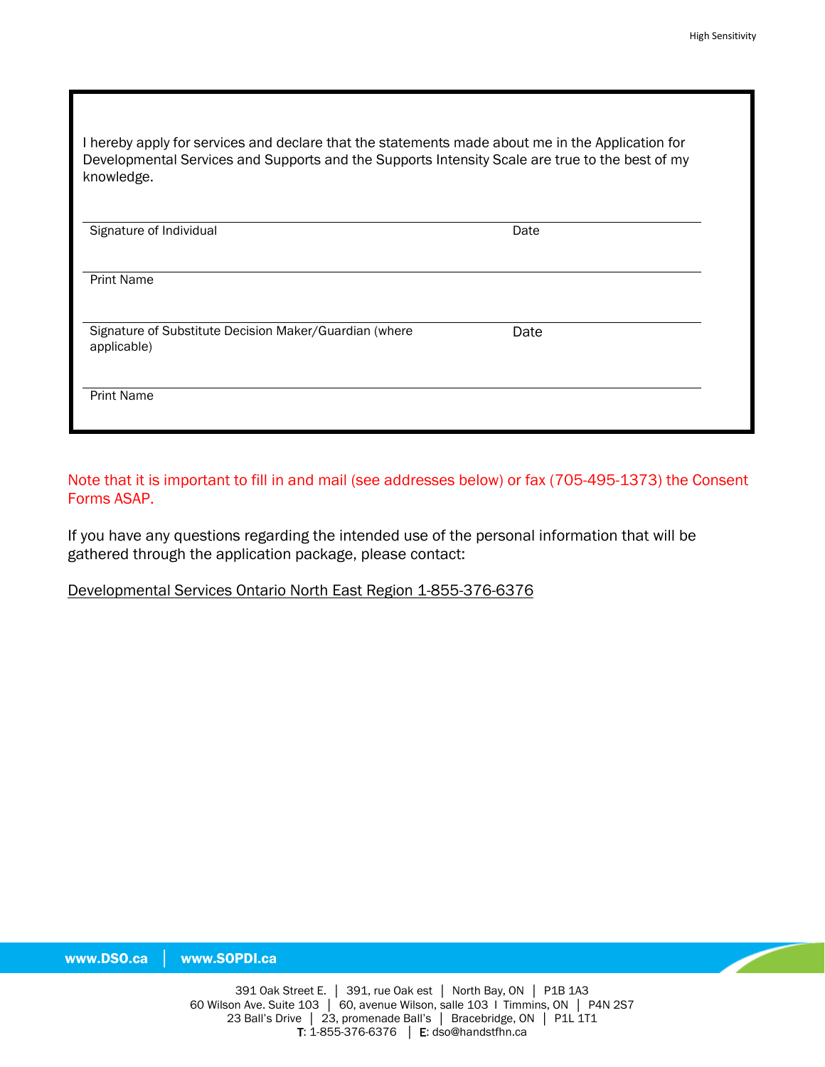| I hereby apply for services and declare that the statements made about me in the Application for |
|--------------------------------------------------------------------------------------------------|
| Developmental Services and Supports and the Supports Intensity Scale are true to the best of my  |
| knowledge.                                                                                       |

| Signature of Individual                                               | Date |  |
|-----------------------------------------------------------------------|------|--|
| <b>Print Name</b>                                                     |      |  |
| Signature of Substitute Decision Maker/Guardian (where<br>applicable) | Date |  |
| <b>Print Name</b>                                                     |      |  |

Note that it is important to fill in and mail (see addresses below) or fax (705-495-1373) the Consent Forms ASAP.

If you have any questions regarding the intended use of the personal information that will be gathered through the application package, please contact:

# Developmental Services Ontario North East Region 1-855-376-6376

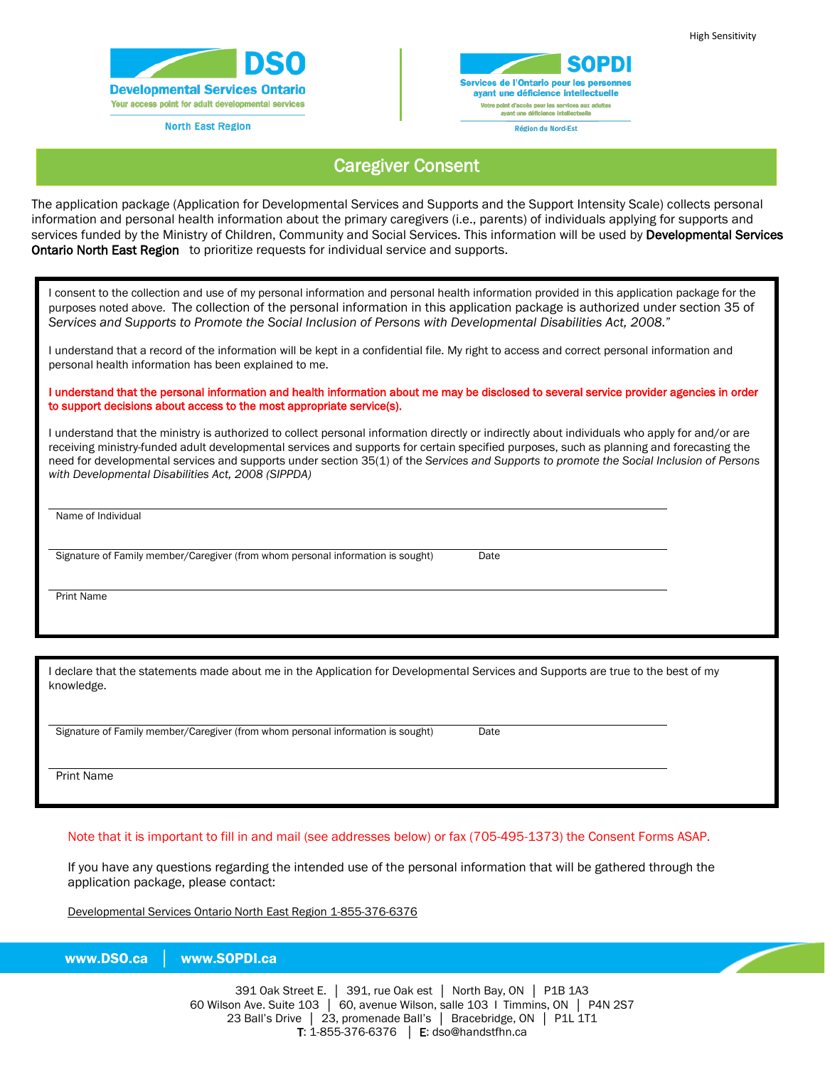

**North East Region** 



# Caregiver Consent

The application package (Application for Developmental Services and Supports and the Support Intensity Scale) collects personal information and personal health information about the primary caregivers (i.e., parents) of individuals applying for supports and services funded by the Ministry of Children, Community and Social Services. This information will be used by Developmental Services Ontario North East Region to prioritize requests for individual service and supports.

I consent to the collection and use of my personal information and personal health information provided in this application package for the purposes noted above. The collection of the personal information in this application package is authorized under section 35 of *Services and Supports to Promote the Social Inclusion of Persons with Developmental Disabilities Act, 2008.*"

I understand that a record of the information will be kept in a confidential file. My right to access and correct personal information and personal health information has been explained to me.

#### I understand that the personal information and health information about me may be disclosed to several service provider agencies in order to support decisions about access to the most appropriate service(s).

I understand that the ministry is authorized to collect personal information directly or indirectly about individuals who apply for and/or are receiving ministry-funded adult developmental services and supports for certain specified purposes, such as planning and forecasting the need for developmental services and supports under section 35(1) of the *Services and Supports to promote the Social Inclusion of Persons with Developmental Disabilities Act, 2008 (SIPPDA)* 

Name of Individual

Signature of Family member/Caregiver (from whom personal information is sought) Date

Print Name

l

I declare that the statements made about me in the Application for Developmental Services and Supports are true to the best of my knowledge.

Signature of Family member/Caregiver (from whom personal information is sought) Date

Print Name

l

## Note that it is important to fill in and mail (see addresses below) or fax (705-495-1373) the Consent Forms ASAP.

l

If you have any questions regarding the intended use of the personal information that will be gathered through the application package, please contact:

Developmental Services Ontario North East Region 1-855-376-6376

www.DSO.ca │ www.SOPDI.ca